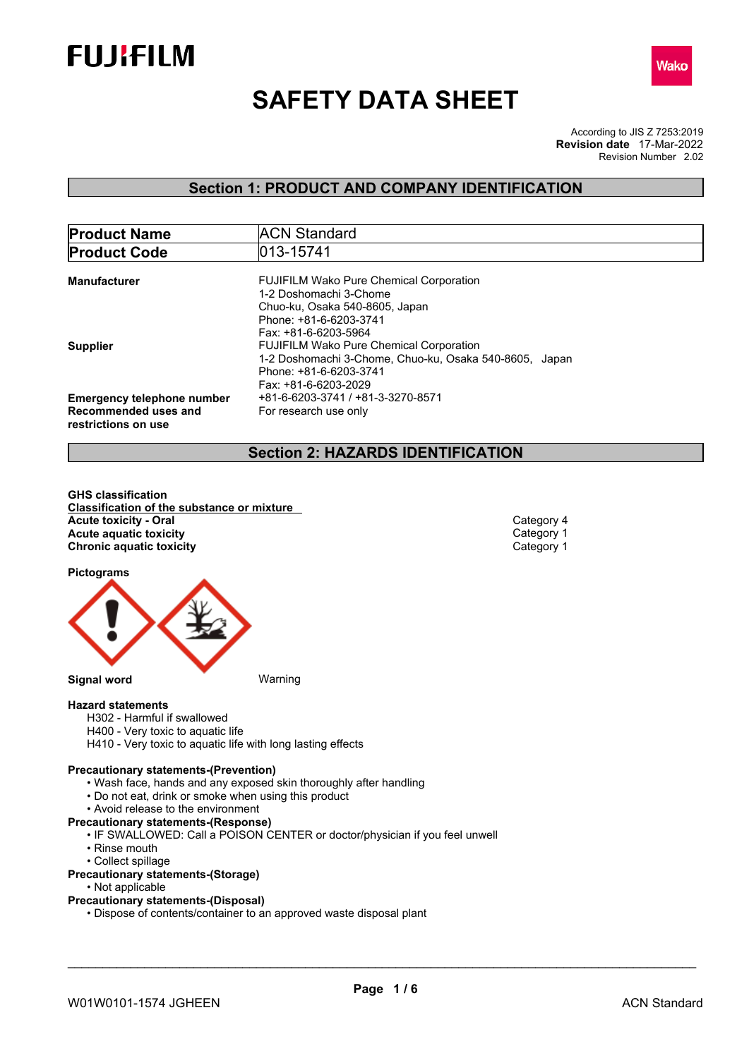



# **SAFETY DATA SHEET**

According to JIS Z 7253:2019 Revision Number 2.02 **Revision date** 17-Mar-2022

## **Section 1: PRODUCT AND COMPANY IDENTIFICATION**

| <b>Product Name</b>               | <b>ACN Standard</b>                                    |
|-----------------------------------|--------------------------------------------------------|
| <b>Product Code</b>               | 013-15741                                              |
|                                   |                                                        |
| <b>Manufacturer</b>               | <b>FUJIFILM Wako Pure Chemical Corporation</b>         |
|                                   | 1-2 Doshomachi 3-Chome                                 |
|                                   | Chuo-ku, Osaka 540-8605, Japan                         |
|                                   | Phone: +81-6-6203-3741                                 |
|                                   | Fax: +81-6-6203-5964                                   |
| <b>Supplier</b>                   | <b>FUJIFILM Wako Pure Chemical Corporation</b>         |
|                                   | 1-2 Doshomachi 3-Chome, Chuo-ku, Osaka 540-8605, Japan |
|                                   | Phone: +81-6-6203-3741                                 |
|                                   | Fax: +81-6-6203-2029                                   |
| <b>Emergency telephone number</b> | +81-6-6203-3741 / +81-3-3270-8571                      |
| Recommended uses and              | For research use only                                  |
| restrictions on use               |                                                        |
|                                   |                                                        |

## **Section 2: HAZARDS IDENTIFICATION**

**GHS classification Classification of the substance or mixture Acute toxicity - Oral** Category 4<br> **Acute aquatic toxicity**<br>
Category 1 **Acute** aquatic toxicity **and the control of the control of the control of the control of the Category 1 Category 1 Category 1 Category 1 Category 1 Chronic aquatic toxicity** 

**Pictograms**



**Hazard statements**

- H302 Harmful if swallowed
- H400 Very toxic to aquatic life
- H410 Very toxic to aquatic life with long lasting effects

## **Precautionary statements-(Prevention)**

- Wash face, hands and any exposed skin thoroughly after handling
- Do not eat, drink or smoke when using this product
- Avoid release to the environment
- **Precautionary statements-(Response)**
	- IF SWALLOWED: Call a POISON CENTER or doctor/physician if you feel unwell
	- Rinse mouth
	- Collect spillage

## **Precautionary statements-(Storage)**

- Not applicable
- **Precautionary statements-(Disposal)**
	- Dispose of contents/container to an approved waste disposal plant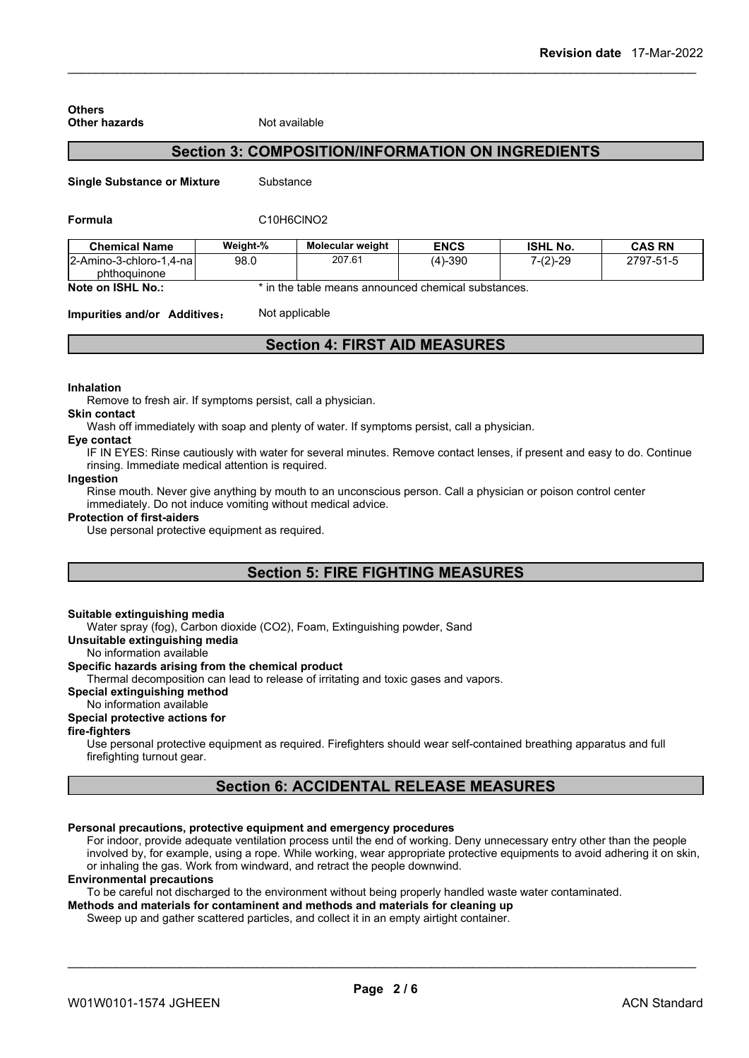| <b>Other hazards</b>               | Not available |                                                          |             |                 |
|------------------------------------|---------------|----------------------------------------------------------|-------------|-----------------|
|                                    |               | <b>Section 3: COMPOSITION/INFORMATION ON INGREDIENTS</b> |             |                 |
| <b>Single Substance or Mixture</b> | Substance     |                                                          |             |                 |
| <b>Formula</b>                     |               | C <sub>10</sub> H <sub>6</sub> CINO <sub>2</sub>         |             |                 |
| <b>Chemical Name</b>               | Weight-%      | <b>Molecular weight</b>                                  | <b>ENCS</b> | <b>ISHL No.</b> |
| $\Omega$ Amino 2 obloro 1.4 nol    | no n          | 20761                                                    | $(1)$ 200   | 7.01.20         |

**Chemical Name Weight-% Molecular weight ENCS ISHL No. CAS RN** 2-Amino-3-chloro-1,4-na phthoquinone 98.0 207.61 (4)-390 7-(2)-29 2797-51-5

**Note on ISHL No.:**  $\bullet$  in the table means announced chemical substances.

**Impurities and/or Additives:** Not applicable

**Section 4: FIRST AID MEASURES**

## **Inhalation**

**Others**

Remove to fresh air. If symptoms persist, call a physician.

## **Skin contact**

Wash off immediately with soap and plenty of water. If symptoms persist, call a physician.

#### **Eye contact**

IF IN EYES: Rinse cautiously with water for several minutes. Remove contact lenses, if present and easy to do. Continue rinsing. Immediate medical attention is required.

#### **Ingestion**

Rinse mouth. Never give anything by mouth to an unconscious person. Call a physician or poison control center immediately. Do not induce vomiting without medical advice.

#### **Protection of first-aiders**

Use personal protective equipment as required.

## **Section 5: FIRE FIGHTING MEASURES**

## **Suitable extinguishing media**

Water spray (fog), Carbon dioxide (CO2), Foam, Extinguishing powder, Sand

**Unsuitable extinguishing media**

#### No information available **Specific hazards arising from the chemical product**

Thermal decomposition can lead to release of irritating and toxic gases and vapors.

#### **Special extinguishing method**

## No information available

## **Special protective actions for**

**fire-fighters**

Use personal protective equipment as required.Firefighters should wear self-contained breathing apparatus and full firefighting turnout gear.

## **Section 6: ACCIDENTAL RELEASE MEASURES**

## **Personal precautions, protective equipment and emergency procedures**

For indoor, provide adequate ventilation process until the end of working. Deny unnecessary entry other than the people involved by, for example, using a rope. While working, wear appropriate protective equipments to avoid adhering it on skin, or inhaling the gas. Work from windward, and retract the people downwind.

#### **Environmental precautions**

To be careful not discharged to the environment without being properly handled waste water contaminated.

## **Methods and materials for contaminent and methods and materials for cleaning up**

Sweep up and gather scattered particles, and collect it in an empty airtight container.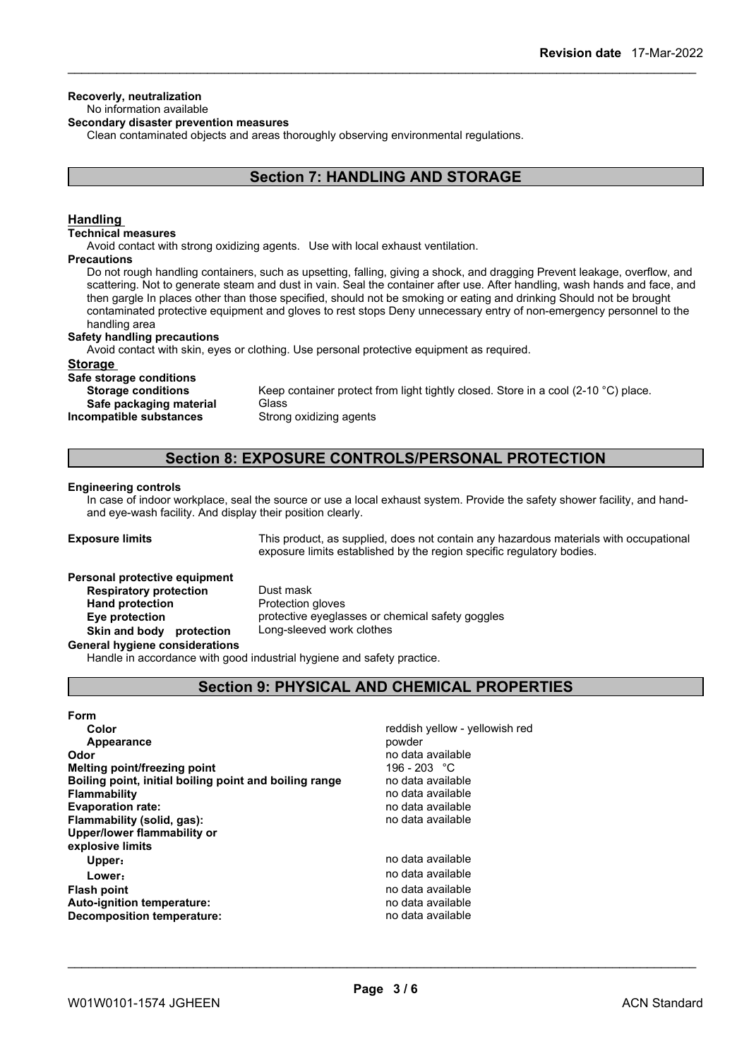#### **Recoverly, neutralization** No information available

## **Secondary disaster prevention measures**

Clean contaminated objects and areas thoroughly observing environmental regulations.

## **Section 7: HANDLING AND STORAGE**

## **Handling**

#### **Technical measures**

Avoid contact with strong oxidizing agents. Use with local exhaust ventilation.

## **Precautions**

Do not rough handling containers, such as upsetting, falling, giving a shock, and dragging Prevent leakage, overflow, and scattering. Not to generate steam and dust in vain. Seal the container after use. After handling, wash hands and face, and then gargle In places other than those specified, should not be smoking or eating and drinking Should not be brought contaminated protective equipment and gloves to rest stops Deny unnecessary entry of non-emergency personnel to the handling area

#### **Safety handling precautions**

Avoid contact with skin, eyes or clothing. Use personal protective equipment as required.

## **Storage**

**Safe storage conditions**

**Safe** packaging material **Incompatible substances** Strong oxidizing agents

**Storage conditions** Keep container protect from light tightly closed. Store in a cool (2-10 °C) place.<br>Safe nackaging material Glass

## **Section 8: EXPOSURE CONTROLS/PERSONAL PROTECTION**

#### **Engineering controls**

In case of indoor workplace, seal the source or use a local exhaust system. Provide the safety shower facility, and handand eye-wash facility. And display their position clearly.

**Exposure limits** This product, as supplied, does not contain any hazardous materials with occupational exposure limits established by the region specific regulatory bodies.

## **Personal protective equipment**

**Respiratory protection** Dust mask **Hand protection** Protection gloves **Eye protection** protective eyeglasses or chemical safety goggles **Skin and body protection** Long-sleeved work clothes

**General hygiene considerations**

Handle in accordance with good industrial hygiene and safety practice.

## **Section 9: PHYSICAL AND CHEMICAL PROPERTIES**

| Form                                                   |                                |
|--------------------------------------------------------|--------------------------------|
| Color                                                  | reddish yellow - yellowish red |
| Appearance                                             | powder                         |
| Odor                                                   | no data available              |
| Melting point/freezing point                           | 196 - 203 °C                   |
| Boiling point, initial boiling point and boiling range | no data available              |
| <b>Flammability</b>                                    | no data available              |
| <b>Evaporation rate:</b>                               | no data available              |
| Flammability (solid, gas):                             | no data available              |
| Upper/lower flammability or                            |                                |
| explosive limits                                       |                                |
| Upper:                                                 | no data available              |
| Lower:                                                 | no data available              |
| <b>Flash point</b>                                     | no data available              |
| <b>Auto-ignition temperature:</b>                      | no data available              |
| Decomposition temperature:                             | no data available              |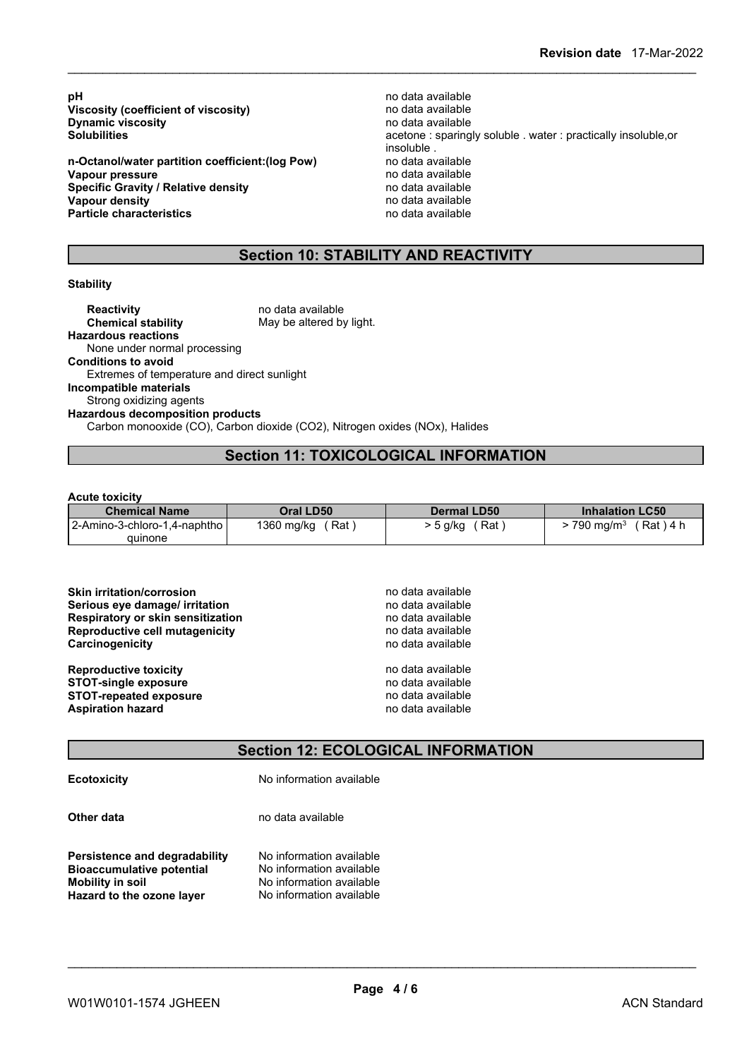**pH** no data available<br>**Viscosity (coefficient of viscosity) ho data available** no data available **Viscosity** (coefficient of viscosity) **Dynamic viscosity**<br> **Solubilities**<br> **Solubilities**<br> **Solubilities** 

**n-Octanol/water partition coefficient:(log Pow)** no data available **Vapour pressure**<br> **Specific Gravity / Relative density**<br> **Specific Gravity / Relative density**<br> **Property** and the notata available **Specific Gravity / Relative density<br>Vapour density Particle characteristics** 

acetone : sparingly soluble . water : practically insoluble,or insoluble .<br>no data available **Vapour density** no data available

## **Section 10: STABILITY AND REACTIVITY**

#### **Stability**

**Reactivity** no data available<br> **Chemical stability** May be altered by May be altered by light. **Hazardous reactions** None under normal processing **Conditions to avoid** Extremes of temperature and direct sunlight **Incompatible materials** Strong oxidizing agents **Hazardous decomposition products** Carbon monooxide (CO), Carbon dioxide (CO2), Nitrogen oxides (NOx), Halides

## **Section 11: TOXICOLOGICAL INFORMATION**

#### **Acute toxicity**

| <b>Chemical Name</b>         | Oral LD50         | <b>Dermal LD50</b> | <b>Inhalation LC50</b>              |
|------------------------------|-------------------|--------------------|-------------------------------------|
| 2-Amino-3-chloro-1,4-naphtho | 1360 mg/kg<br>Rat | ′ Rat<br>⊤5 g/kg   | $790 \text{ ma/m}^3$<br>์ Rat ) 4 h |
| quinone                      |                   |                    |                                     |

| <b>Skin irritation/corrosion</b>         | no data available |
|------------------------------------------|-------------------|
| Serious eye damage/ irritation           | no data available |
| <b>Respiratory or skin sensitization</b> | no data available |
| Reproductive cell mutagenicity           | no data available |
| Carcinogenicity                          | no data available |
| <b>Reproductive toxicity</b>             | no data available |
| <b>STOT-single exposure</b>              | no data available |
| <b>STOT-repeated exposure</b>            | no data available |
| <b>Aspiration hazard</b>                 | no data available |

## **Section 12: ECOLOGICAL INFORMATION**

| <b>Ecotoxicity</b> |  |
|--------------------|--|
|                    |  |
|                    |  |

**Ecotoxicity** No information available

**Other data** no data available

**Persistence and degradability** No information available<br>**Bioaccumulative potential** No information available **Bioaccumulative potential Mobility** in soil No information available **Hazard to the ozone layer** No information available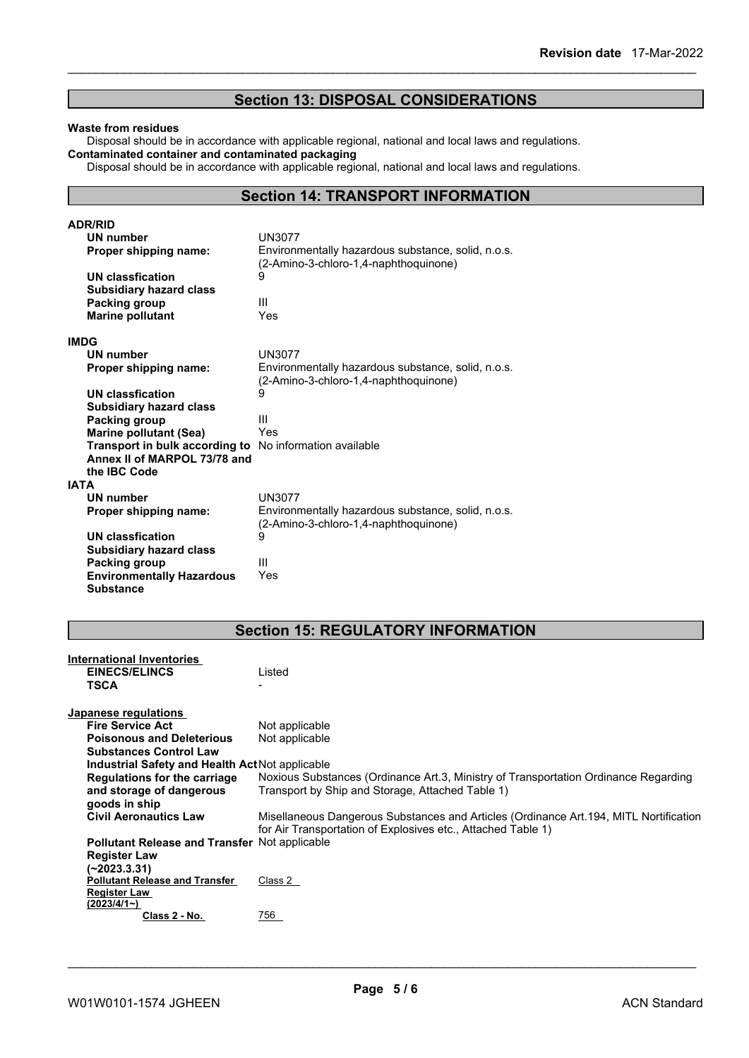## **Section 13: DISPOSAL CONSIDERATIONS**

#### **Waste from residues**

Disposal should be in accordance with applicable regional, national and local laws and regulations. **Contaminated container and contaminated packaging**

Disposal should be in accordance with applicable regional, national and local laws and regulations.

## **Section 14: TRANSPORT INFORMATION**

| <b>ADR/RID</b>                   |                                                                                             |
|----------------------------------|---------------------------------------------------------------------------------------------|
| <b>UN number</b>                 | <b>UN3077</b>                                                                               |
| Proper shipping name:            | Environmentally hazardous substance, solid, n.o.s.<br>(2-Amino-3-chloro-1,4-naphthoquinone) |
| <b>UN classfication</b>          | 9                                                                                           |
| <b>Subsidiary hazard class</b>   |                                                                                             |
| Packing group                    | Ш                                                                                           |
| <b>Marine pollutant</b>          | Yes                                                                                         |
|                                  |                                                                                             |
| <b>IMDG</b>                      |                                                                                             |
| <b>UN number</b>                 | <b>UN3077</b>                                                                               |
| Proper shipping name:            | Environmentally hazardous substance, solid, n.o.s.                                          |
|                                  | (2-Amino-3-chloro-1,4-naphthoquinone)                                                       |
| <b>UN classfication</b>          | 9                                                                                           |
| <b>Subsidiary hazard class</b>   |                                                                                             |
| Packing group                    | Ш                                                                                           |
| <b>Marine pollutant (Sea)</b>    | Yes                                                                                         |
| Transport in bulk according to   | No information available                                                                    |
| Annex II of MARPOL 73/78 and     |                                                                                             |
| the IBC Code                     |                                                                                             |
| <b>IATA</b>                      |                                                                                             |
| UN number                        | UN3077                                                                                      |
| Proper shipping name:            | Environmentally hazardous substance, solid, n.o.s.                                          |
|                                  | (2-Amino-3-chloro-1,4-naphthoquinone)                                                       |
| UN classfication                 | 9                                                                                           |
| <b>Subsidiary hazard class</b>   |                                                                                             |
| Packing group                    | Ш                                                                                           |
| <b>Environmentally Hazardous</b> | Yes                                                                                         |
| <b>Substance</b>                 |                                                                                             |

## **Section 15: REGULATORY INFORMATION**

| <b>International Inventories</b><br><b>EINECS/ELINCS</b><br><b>TSCA</b> | Listed                                                                                                                                                |
|-------------------------------------------------------------------------|-------------------------------------------------------------------------------------------------------------------------------------------------------|
| Japanese regulations                                                    |                                                                                                                                                       |
| <b>Fire Service Act</b>                                                 | Not applicable                                                                                                                                        |
| <b>Poisonous and Deleterious</b>                                        | Not applicable                                                                                                                                        |
| <b>Substances Control Law</b>                                           |                                                                                                                                                       |
| Industrial Safety and Health Act Not applicable                         |                                                                                                                                                       |
| Regulations for the carriage                                            | Noxious Substances (Ordinance Art.3, Ministry of Transportation Ordinance Regarding                                                                   |
| and storage of dangerous<br>goods in ship                               | Transport by Ship and Storage, Attached Table 1)                                                                                                      |
| <b>Civil Aeronautics Law</b>                                            | Misellaneous Dangerous Substances and Articles (Ordinance Art.194, MITL Nortification<br>for Air Transportation of Explosives etc., Attached Table 1) |
| <b>Pollutant Release and Transfer Not applicable</b>                    |                                                                                                                                                       |
| <b>Register Law</b>                                                     |                                                                                                                                                       |
| (~2023.3.31)                                                            |                                                                                                                                                       |
| <b>Pollutant Release and Transfer</b>                                   | Class 2                                                                                                                                               |
| <b>Register Law</b>                                                     |                                                                                                                                                       |
| (2023/4/1)                                                              |                                                                                                                                                       |
| Class 2 - No.                                                           | 756                                                                                                                                                   |
|                                                                         |                                                                                                                                                       |